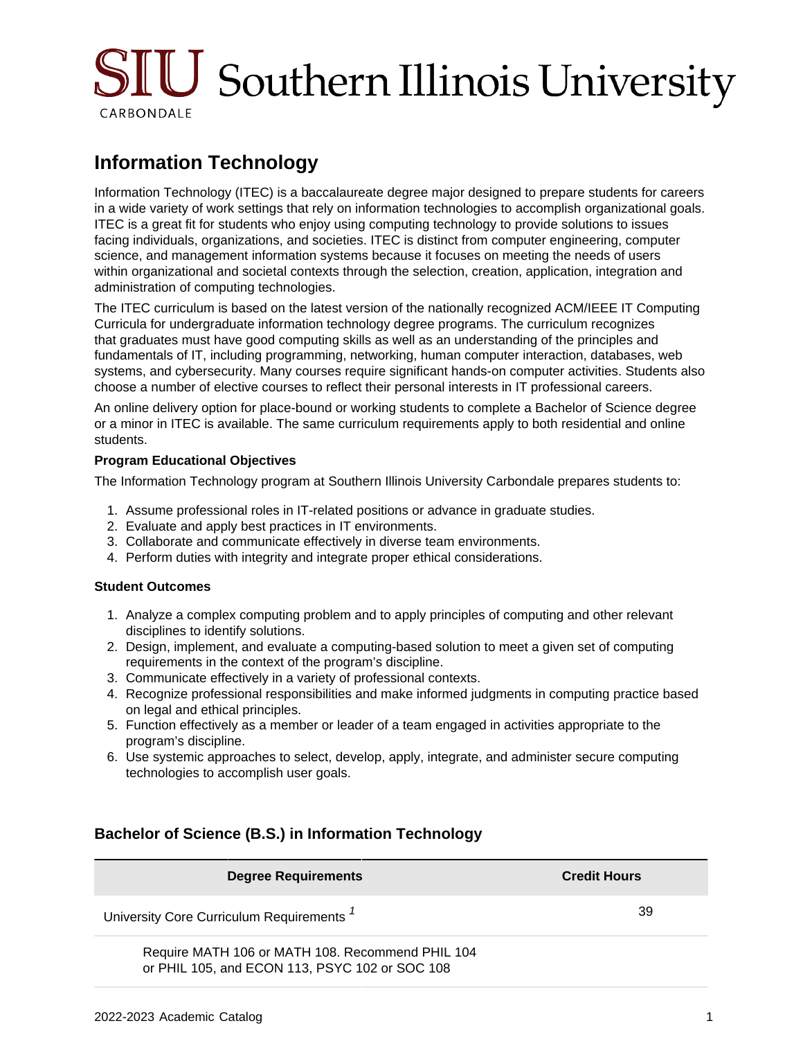# $\rm S\overline{I} \overline{U}$  Southern Illinois University CARBONDALE

# **Information Technology**

Information Technology (ITEC) is a baccalaureate degree major designed to prepare students for careers in a wide variety of work settings that rely on information technologies to accomplish organizational goals. ITEC is a great fit for students who enjoy using computing technology to provide solutions to issues facing individuals, organizations, and societies. ITEC is distinct from computer engineering, computer science, and management information systems because it focuses on meeting the needs of users within organizational and societal contexts through the selection, creation, application, integration and administration of computing technologies.

The ITEC curriculum is based on the latest version of the nationally recognized ACM/IEEE IT Computing Curricula for undergraduate information technology degree programs. The curriculum recognizes that graduates must have good computing skills as well as an understanding of the principles and fundamentals of IT, including programming, networking, human computer interaction, databases, web systems, and cybersecurity. Many courses require significant hands-on computer activities. Students also choose a number of elective courses to reflect their personal interests in IT professional careers.

An online delivery option for place-bound or working students to complete a Bachelor of Science degree or a minor in ITEC is available. The same curriculum requirements apply to both residential and online students.

## **Program Educational Objectives**

The Information Technology program at Southern Illinois University Carbondale prepares students to:

- 1. Assume professional roles in IT-related positions or advance in graduate studies.
- 2. Evaluate and apply best practices in IT environments.
- 3. Collaborate and communicate effectively in diverse team environments.
- 4. Perform duties with integrity and integrate proper ethical considerations.

## **Student Outcomes**

- 1. Analyze a complex computing problem and to apply principles of computing and other relevant disciplines to identify solutions.
- 2. Design, implement, and evaluate a computing-based solution to meet a given set of computing requirements in the context of the program's discipline.
- 3. Communicate effectively in a variety of professional contexts.
- 4. Recognize professional responsibilities and make informed judgments in computing practice based on legal and ethical principles.
- 5. Function effectively as a member or leader of a team engaged in activities appropriate to the program's discipline.
- 6. Use systemic approaches to select, develop, apply, integrate, and administer secure computing technologies to accomplish user goals.

## **Bachelor of Science (B.S.) in Information Technology**

| <b>Degree Requirements</b>                                                                         | <b>Credit Hours</b> |
|----------------------------------------------------------------------------------------------------|---------------------|
| University Core Curriculum Requirements <sup>1</sup>                                               | 39                  |
| Require MATH 106 or MATH 108. Recommend PHIL 104<br>or PHIL 105, and ECON 113, PSYC 102 or SOC 108 |                     |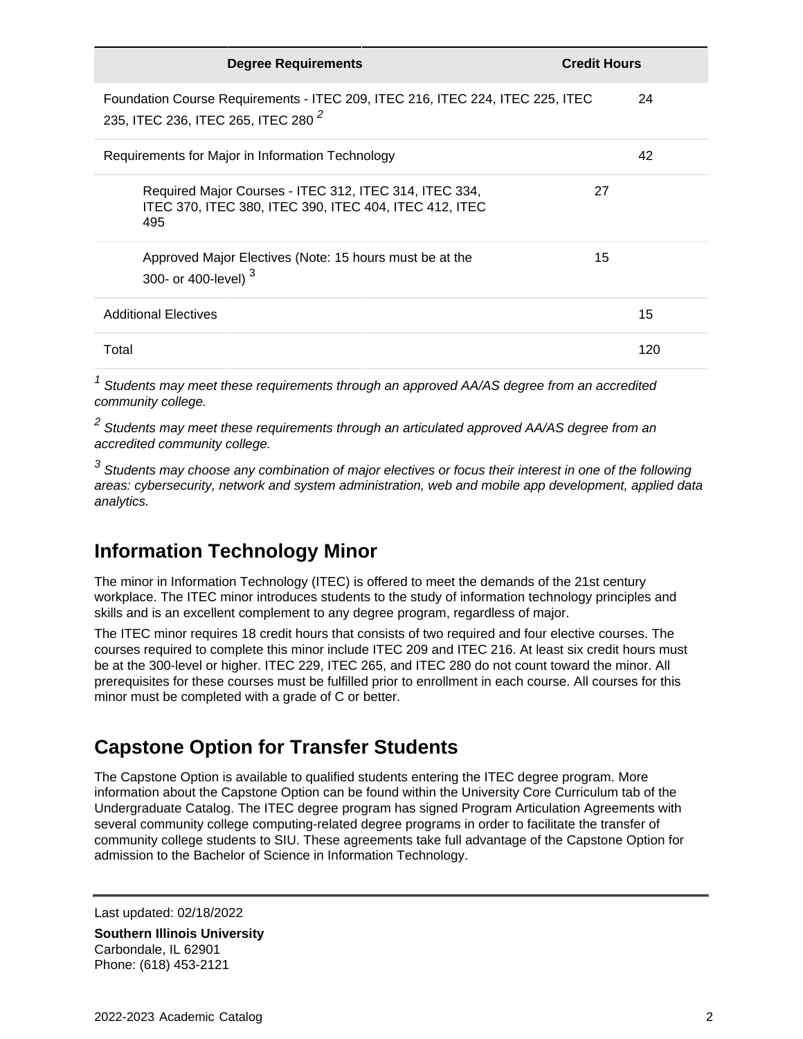|    | 24                                                                                                   |
|----|------------------------------------------------------------------------------------------------------|
|    | 42                                                                                                   |
| 27 |                                                                                                      |
| 15 |                                                                                                      |
|    | 15                                                                                                   |
|    | 120                                                                                                  |
|    | <b>Credit Hours</b><br>Foundation Course Requirements - ITEC 209, ITEC 216, ITEC 224, ITEC 225, ITEC |

 $1$  Students may meet these requirements through an approved AA/AS degree from an accredited community college.

 $^{\text{2}}$  Students may meet these requirements through an articulated approved AA/AS degree from an accredited community college.

 $3$  Students may choose any combination of major electives or focus their interest in one of the following areas: cybersecurity, network and system administration, web and mobile app development, applied data analytics.

# **Information Technology Minor**

The minor in Information Technology (ITEC) is offered to meet the demands of the 21st century workplace. The ITEC minor introduces students to the study of information technology principles and skills and is an excellent complement to any degree program, regardless of major.

The ITEC minor requires 18 credit hours that consists of two required and four elective courses. The courses required to complete this minor include ITEC 209 and ITEC 216. At least six credit hours must be at the 300-level or higher. ITEC 229, ITEC 265, and ITEC 280 do not count toward the minor. All prerequisites for these courses must be fulfilled prior to enrollment in each course. All courses for this minor must be completed with a grade of C or better.

# **Capstone Option for Transfer Students**

The Capstone Option is available to qualified students entering the ITEC degree program. More information about the Capstone Option can be found within the University Core Curriculum tab of the Undergraduate Catalog. The ITEC degree program has signed Program Articulation Agreements with several community college computing-related degree programs in order to facilitate the transfer of community college students to SIU. These agreements take full advantage of the Capstone Option for admission to the Bachelor of Science in Information Technology.

Last updated: 02/18/2022

**Southern Illinois University** Carbondale, IL 62901 Phone: (618) 453-2121